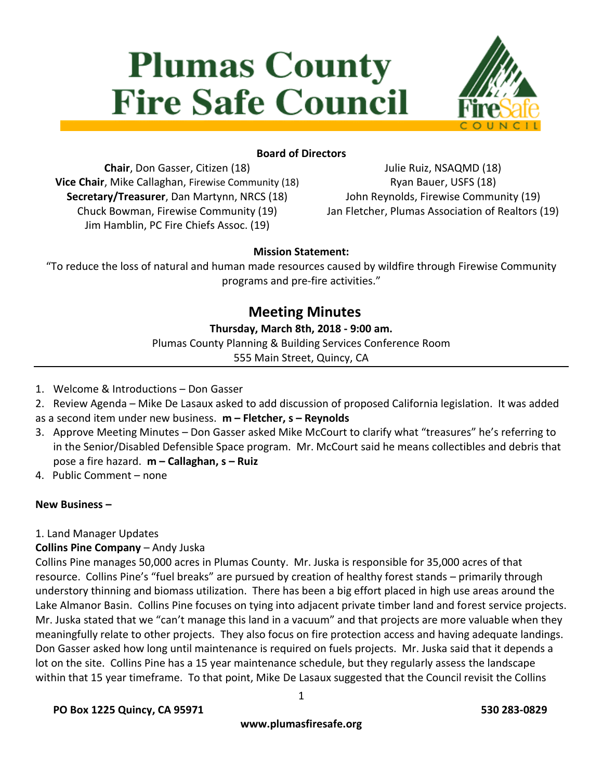# **Plumas County Fire Safe Council**



## **Board of Directors**

**Chair**, Don Gasser, Citizen (18) **Vice Chair**, Mike Callaghan, Firewise Community (18) **Secretary/Treasurer**, Dan Martynn, NRCS (18) Chuck Bowman, Firewise Community (19) Jim Hamblin, PC Fire Chiefs Assoc. (19)

Julie Ruiz, NSAQMD (18) Ryan Bauer, USFS (18) John Reynolds, Firewise Community (19) Jan Fletcher, Plumas Association of Realtors (19)

## **Mission Statement:**

"To reduce the loss of natural and human made resources caused by wildfire through Firewise Community programs and pre-fire activities."

## **Meeting Minutes**

## **Thursday, March 8th, 2018 - 9:00 am.**

Plumas County Planning & Building Services Conference Room

555 Main Street, Quincy, CA

- 1. Welcome & Introductions Don Gasser
- 2. Review Agenda Mike De Lasaux asked to add discussion of proposed California legislation. It was added
- as a second item under new business. **m – Fletcher, s – Reynolds**
- 3. Approve Meeting Minutes Don Gasser asked Mike McCourt to clarify what "treasures" he's referring to in the Senior/Disabled Defensible Space program. Mr. McCourt said he means collectibles and debris that pose a fire hazard. **m – Callaghan, s – Ruiz**
- 4. Public Comment none

## **New Business –**

#### 1. Land Manager Updates

## **Collins Pine Company** – Andy Juska

Collins Pine manages 50,000 acres in Plumas County. Mr. Juska is responsible for 35,000 acres of that resource. Collins Pine's "fuel breaks" are pursued by creation of healthy forest stands – primarily through understory thinning and biomass utilization. There has been a big effort placed in high use areas around the Lake Almanor Basin. Collins Pine focuses on tying into adjacent private timber land and forest service projects. Mr. Juska stated that we "can't manage this land in a vacuum" and that projects are more valuable when they meaningfully relate to other projects. They also focus on fire protection access and having adequate landings. Don Gasser asked how long until maintenance is required on fuels projects. Mr. Juska said that it depends a lot on the site. Collins Pine has a 15 year maintenance schedule, but they regularly assess the landscape within that 15 year timeframe. To that point, Mike De Lasaux suggested that the Council revisit the Collins

**PO Box 1225 Quincy, CA 95971 530 283-0829**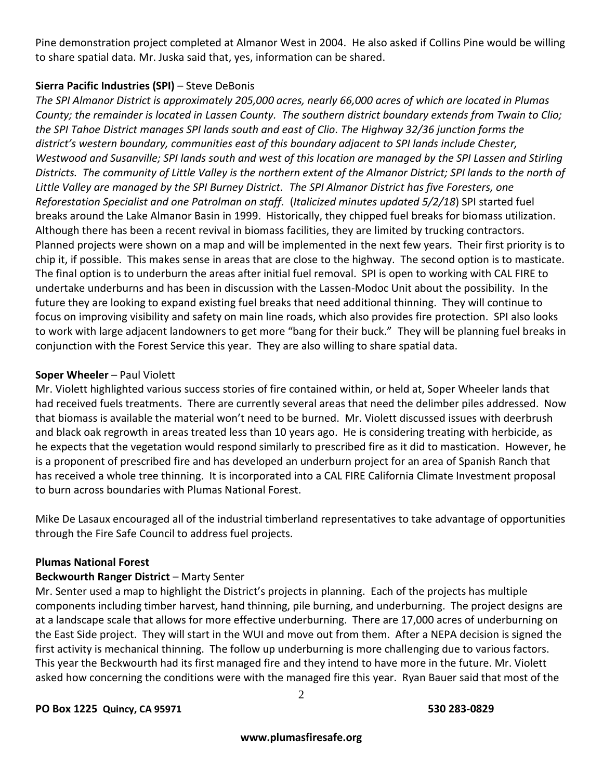Pine demonstration project completed at Almanor West in 2004. He also asked if Collins Pine would be willing to share spatial data. Mr. Juska said that, yes, information can be shared.

## **Sierra Pacific Industries (SPI)** – Steve DeBonis

*The SPI Almanor District is approximately 205,000 acres, nearly 66,000 acres of which are located in Plumas County; the remainder is located in Lassen County. The southern district boundary extends from Twain to Clio; the SPI Tahoe District manages SPI lands south and east of Clio. The Highway 32/36 junction forms the district's western boundary, communities east of this boundary adjacent to SPI lands include Chester, Westwood and Susanville; SPI lands south and west of this location are managed by the SPI Lassen and Stirling Districts. The community of Little Valley is the northern extent of the Almanor District; SPI lands to the north of Little Valley are managed by the SPI Burney District. The SPI Almanor District has five Foresters, one Reforestation Specialist and one Patrolman on staff.* (*Italicized minutes updated 5/2/18*) SPI started fuel breaks around the Lake Almanor Basin in 1999. Historically, they chipped fuel breaks for biomass utilization. Although there has been a recent revival in biomass facilities, they are limited by trucking contractors. Planned projects were shown on a map and will be implemented in the next few years. Their first priority is to chip it, if possible. This makes sense in areas that are close to the highway. The second option is to masticate. The final option is to underburn the areas after initial fuel removal. SPI is open to working with CAL FIRE to undertake underburns and has been in discussion with the Lassen-Modoc Unit about the possibility. In the future they are looking to expand existing fuel breaks that need additional thinning. They will continue to focus on improving visibility and safety on main line roads, which also provides fire protection. SPI also looks to work with large adjacent landowners to get more "bang for their buck." They will be planning fuel breaks in conjunction with the Forest Service this year. They are also willing to share spatial data.

## **Soper Wheeler** – Paul Violett

Mr. Violett highlighted various success stories of fire contained within, or held at, Soper Wheeler lands that had received fuels treatments. There are currently several areas that need the delimber piles addressed. Now that biomass is available the material won't need to be burned. Mr. Violett discussed issues with deerbrush and black oak regrowth in areas treated less than 10 years ago. He is considering treating with herbicide, as he expects that the vegetation would respond similarly to prescribed fire as it did to mastication. However, he is a proponent of prescribed fire and has developed an underburn project for an area of Spanish Ranch that has received a whole tree thinning. It is incorporated into a CAL FIRE California Climate Investment proposal to burn across boundaries with Plumas National Forest.

Mike De Lasaux encouraged all of the industrial timberland representatives to take advantage of opportunities through the Fire Safe Council to address fuel projects.

#### **Plumas National Forest**

## **Beckwourth Ranger District** – Marty Senter

Mr. Senter used a map to highlight the District's projects in planning. Each of the projects has multiple components including timber harvest, hand thinning, pile burning, and underburning. The project designs are at a landscape scale that allows for more effective underburning. There are 17,000 acres of underburning on the East Side project. They will start in the WUI and move out from them. After a NEPA decision is signed the first activity is mechanical thinning. The follow up underburning is more challenging due to various factors. This year the Beckwourth had its first managed fire and they intend to have more in the future. Mr. Violett asked how concerning the conditions were with the managed fire this year. Ryan Bauer said that most of the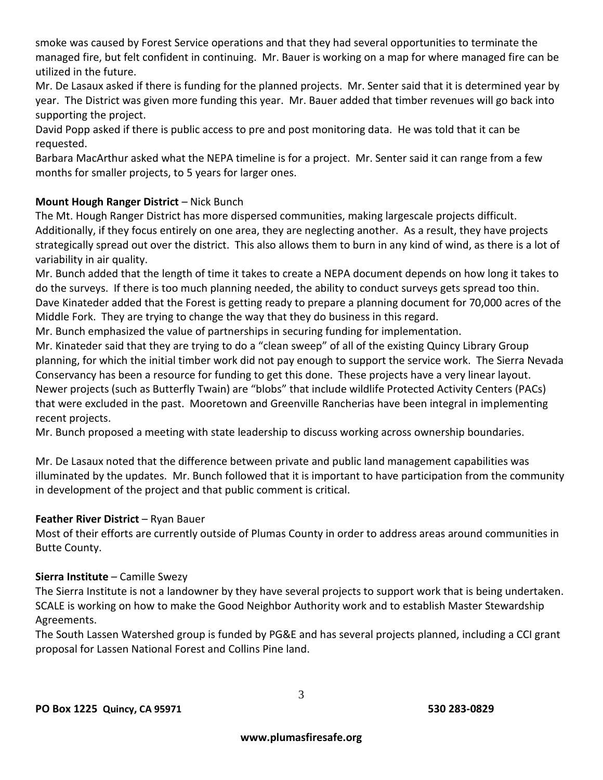smoke was caused by Forest Service operations and that they had several opportunities to terminate the managed fire, but felt confident in continuing. Mr. Bauer is working on a map for where managed fire can be utilized in the future.

Mr. De Lasaux asked if there is funding for the planned projects. Mr. Senter said that it is determined year by year. The District was given more funding this year. Mr. Bauer added that timber revenues will go back into supporting the project.

David Popp asked if there is public access to pre and post monitoring data. He was told that it can be requested.

Barbara MacArthur asked what the NEPA timeline is for a project. Mr. Senter said it can range from a few months for smaller projects, to 5 years for larger ones.

## **Mount Hough Ranger District** – Nick Bunch

The Mt. Hough Ranger District has more dispersed communities, making largescale projects difficult. Additionally, if they focus entirely on one area, they are neglecting another. As a result, they have projects strategically spread out over the district. This also allows them to burn in any kind of wind, as there is a lot of variability in air quality.

Mr. Bunch added that the length of time it takes to create a NEPA document depends on how long it takes to do the surveys. If there is too much planning needed, the ability to conduct surveys gets spread too thin. Dave Kinateder added that the Forest is getting ready to prepare a planning document for 70,000 acres of the Middle Fork. They are trying to change the way that they do business in this regard.

Mr. Bunch emphasized the value of partnerships in securing funding for implementation.

Mr. Kinateder said that they are trying to do a "clean sweep" of all of the existing Quincy Library Group planning, for which the initial timber work did not pay enough to support the service work. The Sierra Nevada Conservancy has been a resource for funding to get this done. These projects have a very linear layout. Newer projects (such as Butterfly Twain) are "blobs" that include wildlife Protected Activity Centers (PACs) that were excluded in the past. Mooretown and Greenville Rancherias have been integral in implementing recent projects.

Mr. Bunch proposed a meeting with state leadership to discuss working across ownership boundaries.

Mr. De Lasaux noted that the difference between private and public land management capabilities was illuminated by the updates. Mr. Bunch followed that it is important to have participation from the community in development of the project and that public comment is critical.

## **Feather River District** – Ryan Bauer

Most of their efforts are currently outside of Plumas County in order to address areas around communities in Butte County.

## **Sierra Institute** – Camille Swezy

The Sierra Institute is not a landowner by they have several projects to support work that is being undertaken. SCALE is working on how to make the Good Neighbor Authority work and to establish Master Stewardship Agreements.

The South Lassen Watershed group is funded by PG&E and has several projects planned, including a CCI grant proposal for Lassen National Forest and Collins Pine land.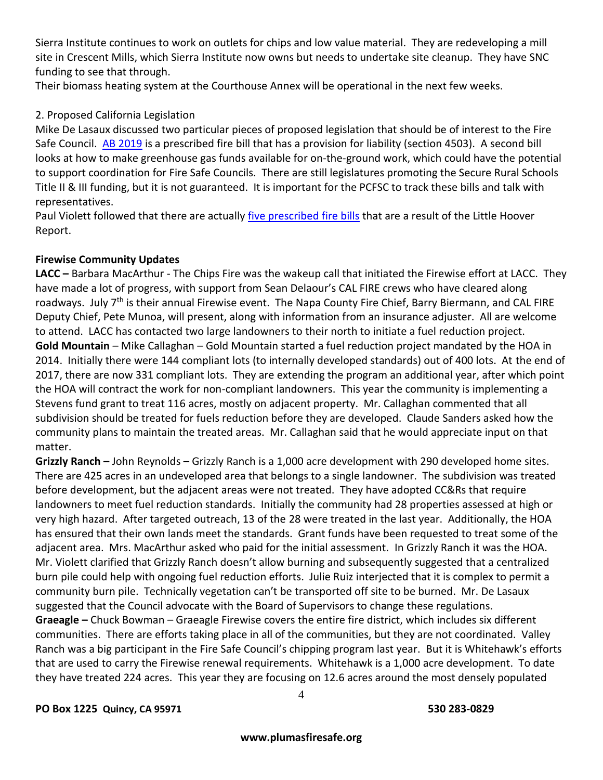Sierra Institute continues to work on outlets for chips and low value material. They are redeveloping a mill site in Crescent Mills, which Sierra Institute now owns but needs to undertake site cleanup. They have SNC funding to see that through.

Their biomass heating system at the Courthouse Annex will be operational in the next few weeks.

## 2. Proposed California Legislation

Mike De Lasaux discussed two particular pieces of proposed legislation that should be of interest to the Fire Safe Council. [AB 2019](http://leginfo.legislature.ca.gov/faces/billTextClient.xhtml?bill_id=201720180AB2091) is a prescribed fire bill that has a provision for liability (section 4503). A second bill looks at how to make greenhouse gas funds available for on-the-ground work, which could have the potential to support coordination for Fire Safe Councils. There are still legislatures promoting the Secure Rural Schools Title II & III funding, but it is not guaranteed. It is important for the PCFSC to track these bills and talk with representatives.

Paul Violett followed that there are actually [five prescribed fire bills](http://www.bof.fire.ca.gov/board_business/binder_materials/2018/m2018m/full0318/full_8-b_legislative_update.pdf) that are a result of the Little Hoover Report.

## **Firewise Community Updates**

**LACC –** Barbara MacArthur - The Chips Fire was the wakeup call that initiated the Firewise effort at LACC. They have made a lot of progress, with support from Sean Delaour's CAL FIRE crews who have cleared along roadways. July 7<sup>th</sup> is their annual Firewise event. The Napa County Fire Chief, Barry Biermann, and CAL FIRE Deputy Chief, Pete Munoa, will present, along with information from an insurance adjuster. All are welcome to attend. LACC has contacted two large landowners to their north to initiate a fuel reduction project. **Gold Mountain** – Mike Callaghan – Gold Mountain started a fuel reduction project mandated by the HOA in 2014. Initially there were 144 compliant lots (to internally developed standards) out of 400 lots. At the end of 2017, there are now 331 compliant lots. They are extending the program an additional year, after which point the HOA will contract the work for non-compliant landowners. This year the community is implementing a Stevens fund grant to treat 116 acres, mostly on adjacent property. Mr. Callaghan commented that all subdivision should be treated for fuels reduction before they are developed. Claude Sanders asked how the community plans to maintain the treated areas. Mr. Callaghan said that he would appreciate input on that matter.

**Grizzly Ranch –** John Reynolds – Grizzly Ranch is a 1,000 acre development with 290 developed home sites. There are 425 acres in an undeveloped area that belongs to a single landowner. The subdivision was treated before development, but the adjacent areas were not treated. They have adopted CC&Rs that require landowners to meet fuel reduction standards. Initially the community had 28 properties assessed at high or very high hazard. After targeted outreach, 13 of the 28 were treated in the last year. Additionally, the HOA has ensured that their own lands meet the standards. Grant funds have been requested to treat some of the adjacent area. Mrs. MacArthur asked who paid for the initial assessment. In Grizzly Ranch it was the HOA. Mr. Violett clarified that Grizzly Ranch doesn't allow burning and subsequently suggested that a centralized burn pile could help with ongoing fuel reduction efforts. Julie Ruiz interjected that it is complex to permit a community burn pile. Technically vegetation can't be transported off site to be burned. Mr. De Lasaux suggested that the Council advocate with the Board of Supervisors to change these regulations. **Graeagle –** Chuck Bowman – Graeagle Firewise covers the entire fire district, which includes six different communities. There are efforts taking place in all of the communities, but they are not coordinated. Valley Ranch was a big participant in the Fire Safe Council's chipping program last year. But it is Whitehawk's efforts that are used to carry the Firewise renewal requirements. Whitehawk is a 1,000 acre development. To date they have treated 224 acres. This year they are focusing on 12.6 acres around the most densely populated

**PO Box 1225 Quincy, CA 95971 530 283-0829**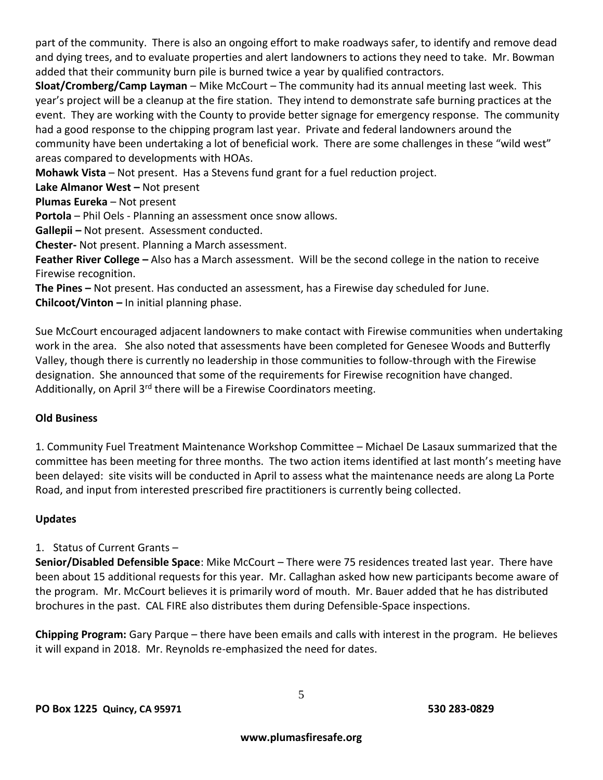part of the community. There is also an ongoing effort to make roadways safer, to identify and remove dead and dying trees, and to evaluate properties and alert landowners to actions they need to take. Mr. Bowman added that their community burn pile is burned twice a year by qualified contractors.

**Sloat/Cromberg/Camp Layman** – Mike McCourt – The community had its annual meeting last week. This year's project will be a cleanup at the fire station. They intend to demonstrate safe burning practices at the event. They are working with the County to provide better signage for emergency response. The community had a good response to the chipping program last year. Private and federal landowners around the community have been undertaking a lot of beneficial work. There are some challenges in these "wild west" areas compared to developments with HOAs.

**Mohawk Vista** – Not present. Has a Stevens fund grant for a fuel reduction project.

**Lake Almanor West –** Not present

**Plumas Eureka** – Not present

**Portola** – Phil Oels - Planning an assessment once snow allows.

**Gallepii –** Not present. Assessment conducted.

**Chester-** Not present. Planning a March assessment.

**Feather River College –** Also has a March assessment. Will be the second college in the nation to receive Firewise recognition.

**The Pines –** Not present. Has conducted an assessment, has a Firewise day scheduled for June. **Chilcoot/Vinton –** In initial planning phase.

Sue McCourt encouraged adjacent landowners to make contact with Firewise communities when undertaking work in the area. She also noted that assessments have been completed for Genesee Woods and Butterfly Valley, though there is currently no leadership in those communities to follow-through with the Firewise designation. She announced that some of the requirements for Firewise recognition have changed. Additionally, on April 3<sup>rd</sup> there will be a Firewise Coordinators meeting.

## **Old Business**

1. Community Fuel Treatment Maintenance Workshop Committee – Michael De Lasaux summarized that the committee has been meeting for three months. The two action items identified at last month's meeting have been delayed: site visits will be conducted in April to assess what the maintenance needs are along La Porte Road, and input from interested prescribed fire practitioners is currently being collected.

## **Updates**

## 1. Status of Current Grants –

**Senior/Disabled Defensible Space**: Mike McCourt – There were 75 residences treated last year. There have been about 15 additional requests for this year. Mr. Callaghan asked how new participants become aware of the program. Mr. McCourt believes it is primarily word of mouth. Mr. Bauer added that he has distributed brochures in the past. CAL FIRE also distributes them during Defensible-Space inspections.

**Chipping Program:** Gary Parque – there have been emails and calls with interest in the program. He believes it will expand in 2018. Mr. Reynolds re-emphasized the need for dates.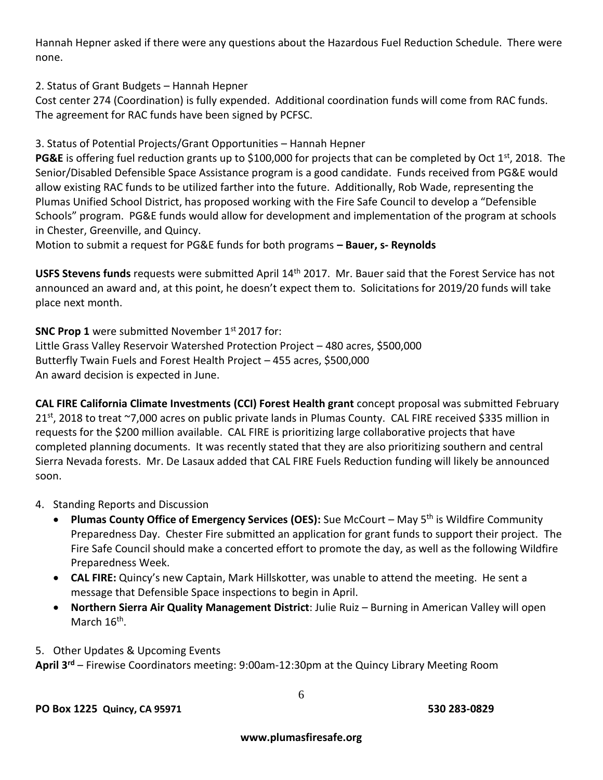Hannah Hepner asked if there were any questions about the Hazardous Fuel Reduction Schedule. There were none.

2. Status of Grant Budgets – Hannah Hepner

Cost center 274 (Coordination) is fully expended. Additional coordination funds will come from RAC funds. The agreement for RAC funds have been signed by PCFSC.

3. Status of Potential Projects/Grant Opportunities – Hannah Hepner

**PG&E** is offering fuel reduction grants up to \$100,000 for projects that can be completed by Oct 1<sup>st</sup>, 2018. The Senior/Disabled Defensible Space Assistance program is a good candidate. Funds received from PG&E would allow existing RAC funds to be utilized farther into the future. Additionally, Rob Wade, representing the Plumas Unified School District, has proposed working with the Fire Safe Council to develop a "Defensible Schools" program. PG&E funds would allow for development and implementation of the program at schools in Chester, Greenville, and Quincy.

Motion to submit a request for PG&E funds for both programs **– Bauer, s- Reynolds**

**USFS Stevens funds** requests were submitted April 14th 2017. Mr. Bauer said that the Forest Service has not announced an award and, at this point, he doesn't expect them to. Solicitations for 2019/20 funds will take place next month.

**SNC Prop 1** were submitted November 1<sup>st</sup> 2017 for: Little Grass Valley Reservoir Watershed Protection Project – 480 acres, \$500,000 Butterfly Twain Fuels and Forest Health Project – 455 acres, \$500,000 An award decision is expected in June.

**CAL FIRE California Climate Investments (CCI) Forest Health grant** concept proposal was submitted February 21st , 2018 to treat ~7,000 acres on public private lands in Plumas County.CAL FIRE received \$335 million in requests for the \$200 million available. CAL FIRE is prioritizing large collaborative projects that have completed planning documents. It was recently stated that they are also prioritizing southern and central Sierra Nevada forests. Mr. De Lasaux added that CAL FIRE Fuels Reduction funding will likely be announced soon.

- 4. Standing Reports and Discussion
	- **Plumas County Office of Emergency Services (OES):** Sue McCourt May 5<sup>th</sup> is Wildfire Community Preparedness Day. Chester Fire submitted an application for grant funds to support their project. The Fire Safe Council should make a concerted effort to promote the day, as well as the following Wildfire Preparedness Week.
	- **CAL FIRE:** Quincy's new Captain, Mark Hillskotter, was unable to attend the meeting. He sent a message that Defensible Space inspections to begin in April.
	- **Northern Sierra Air Quality Management District**: Julie Ruiz Burning in American Valley will open March 16<sup>th</sup>.
- 5. Other Updates & Upcoming Events

**April 3rd** – Firewise Coordinators meeting: 9:00am-12:30pm at the Quincy Library Meeting Room